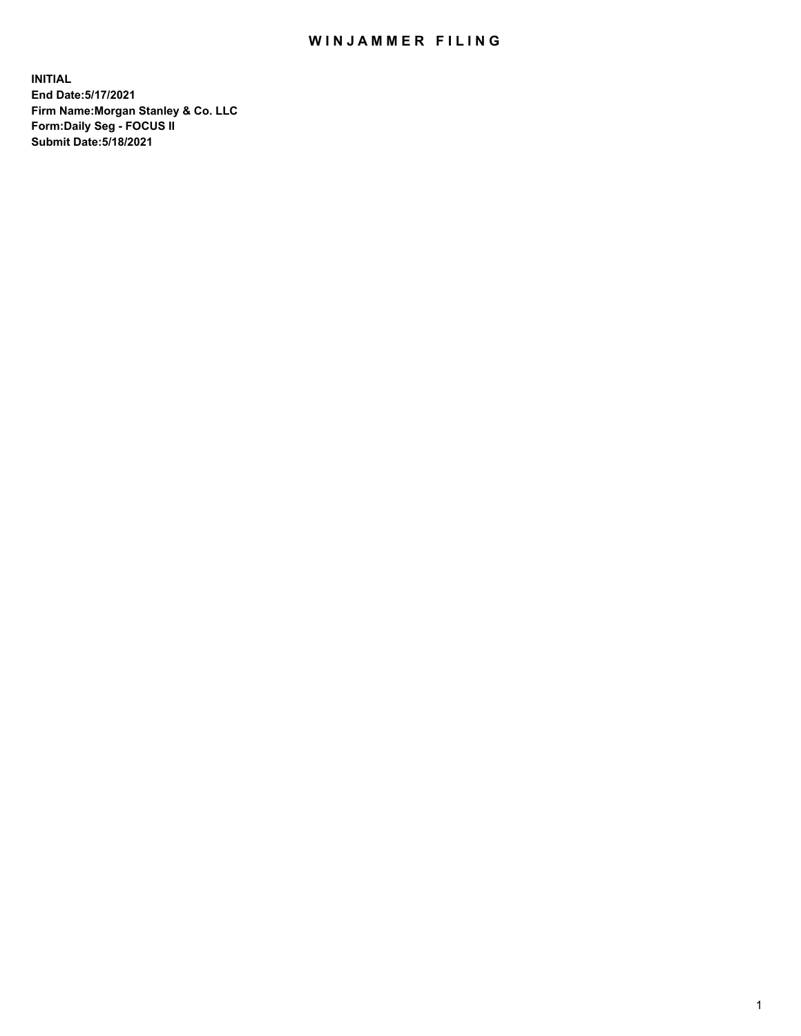## WIN JAMMER FILING

**INITIAL End Date:5/17/2021 Firm Name:Morgan Stanley & Co. LLC Form:Daily Seg - FOCUS II Submit Date:5/18/2021**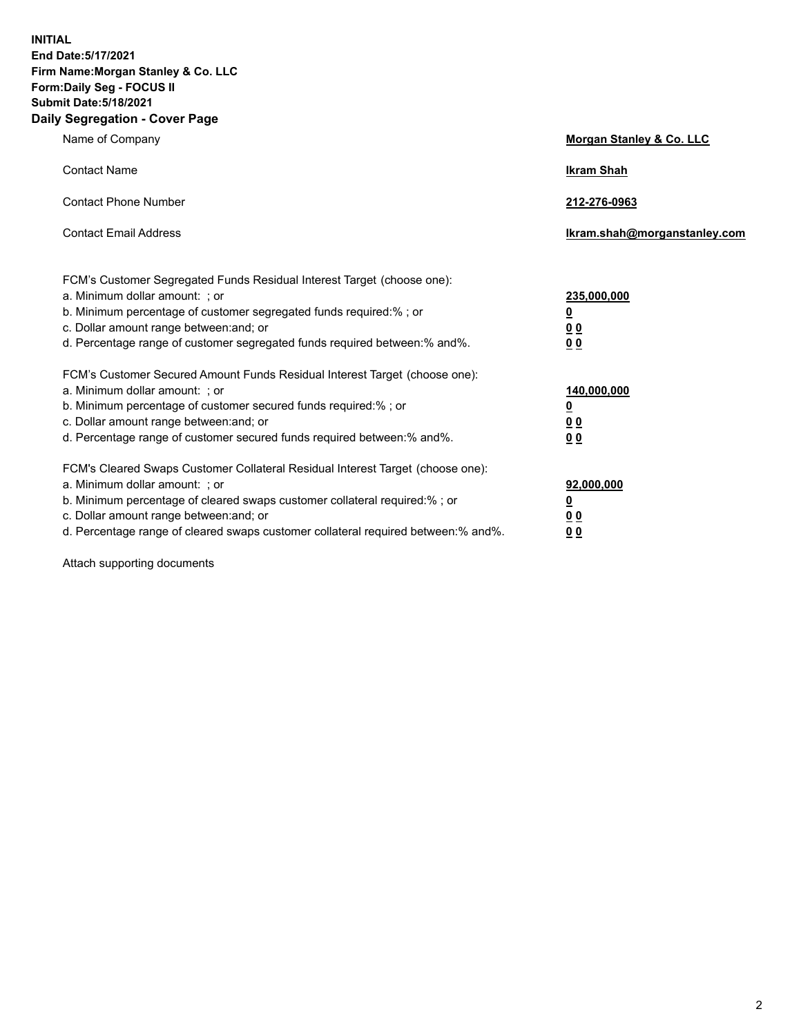**INITIAL End Date:5/17/2021 Firm Name:Morgan Stanley & Co. LLC Form:Daily Seg - FOCUS II Submit Date:5/18/2021 Daily Segregation - Cover Page**

| Name of Company                                                                                                                                                                                                                                                                                                                | Morgan Stanley & Co. LLC                               |
|--------------------------------------------------------------------------------------------------------------------------------------------------------------------------------------------------------------------------------------------------------------------------------------------------------------------------------|--------------------------------------------------------|
| <b>Contact Name</b>                                                                                                                                                                                                                                                                                                            | <b>Ikram Shah</b>                                      |
| <b>Contact Phone Number</b>                                                                                                                                                                                                                                                                                                    | 212-276-0963                                           |
| <b>Contact Email Address</b>                                                                                                                                                                                                                                                                                                   | Ikram.shah@morganstanley.com                           |
| FCM's Customer Segregated Funds Residual Interest Target (choose one):<br>a. Minimum dollar amount: ; or<br>b. Minimum percentage of customer segregated funds required:% ; or<br>c. Dollar amount range between: and; or<br>d. Percentage range of customer segregated funds required between: % and %.                       | 235,000,000<br><u>0</u><br>00<br>0 <sub>0</sub>        |
| FCM's Customer Secured Amount Funds Residual Interest Target (choose one):<br>a. Minimum dollar amount: ; or<br>b. Minimum percentage of customer secured funds required:% ; or<br>c. Dollar amount range between: and; or<br>d. Percentage range of customer secured funds required between:% and%.                           | 140,000,000<br><u>0</u><br><u>00</u><br>0 <sub>0</sub> |
| FCM's Cleared Swaps Customer Collateral Residual Interest Target (choose one):<br>a. Minimum dollar amount: ; or<br>b. Minimum percentage of cleared swaps customer collateral required:% ; or<br>c. Dollar amount range between: and; or<br>d. Percentage range of cleared swaps customer collateral required between:% and%. | 92,000,000<br><u>0</u><br><u>00</u><br>00              |

Attach supporting documents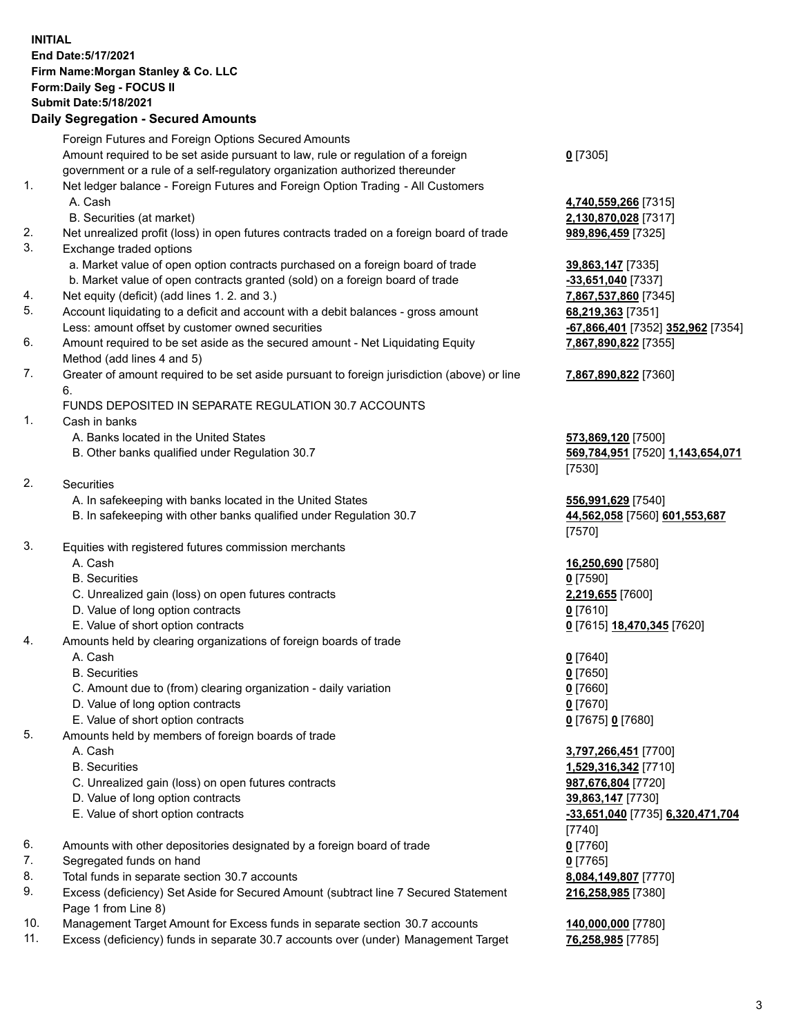## **INITIAL End Date:5/17/2021 Firm Name:Morgan Stanley & Co. LLC Form:Daily Seg - FOCUS II Submit Date:5/18/2021**

## **Daily Segregation - Secured Amounts**

Foreign Futures and Foreign Options Secured Amounts Amount required to be set aside pursuant to law, rule or regulation of a foreign government or a rule of a self-regulatory organization authorized thereunder 1. Net ledger balance - Foreign Futures and Foreign Option Trading - All Customers A. Cash **4,740,559,266** [7315] B. Securities (at market) **2,130,870,028** [7317] 2. Net unrealized profit (loss) in open futures contracts traded on a foreign board of trade **989,896,459** [7325] 3. Exchange traded options a. Market value of open option contracts purchased on a foreign board of trade **39,863,147** [7335] b. Market value of open contracts granted (sold) on a foreign board of trade **-33,651,040** [7337] 4. Net equity (deficit) (add lines 1. 2. and 3.) **7,867,537,860** [7345] 5. Account liquidating to a deficit and account with a debit balances - gross amount **68,219,363** [7351] Less: amount offset by customer owned securities **-67,866,401** [7352] **352,962** [7354] 6. Amount required to be set aside as the secured amount - Net Liquidating Equity Method (add lines 4 and 5) 7. Greater of amount required to be set aside pursuant to foreign jurisdiction (above) or line 6. FUNDS DEPOSITED IN SEPARATE REGULATION 30.7 ACCOUNTS 1. Cash in banks A. Banks located in the United States **573,869,120** [7500] B. Other banks qualified under Regulation 30.7 **569,784,951** [7520] **1,143,654,071** 2. Securities A. In safekeeping with banks located in the United States **556,991,629** [7540] B. In safekeeping with other banks qualified under Regulation 30.7 **44,562,058** [7560] **601,553,687** 3. Equities with registered futures commission merchants A. Cash **16,250,690** [7580] B. Securities **0** [7590] C. Unrealized gain (loss) on open futures contracts **2,219,655** [7600] D. Value of long option contracts **0** [7610] E. Value of short option contracts **0** [7615] **18,470,345** [7620] 4. Amounts held by clearing organizations of foreign boards of trade A. Cash **0** [7640] B. Securities **0** [7650] C. Amount due to (from) clearing organization - daily variation **0** [7660] D. Value of long option contracts **0** [7670] E. Value of short option contracts **0** [7675] **0** [7680] 5. Amounts held by members of foreign boards of trade A. Cash **3,797,266,451** [7700] B. Securities **1,529,316,342** [7710] C. Unrealized gain (loss) on open futures contracts **987,676,804** [7720] D. Value of long option contracts **39,863,147** [7730] E. Value of short option contracts **-33,651,040** [7735] **6,320,471,704** 6. Amounts with other depositories designated by a foreign board of trade **0** [7760] 7. Segregated funds on hand **0** [7765] 8. Total funds in separate section 30.7 accounts **8,084,149,807** [7770] 9. Excess (deficiency) Set Aside for Secured Amount (subtract line 7 Secured Statement

- Page 1 from Line 8)
- 10. Management Target Amount for Excess funds in separate section 30.7 accounts **140,000,000** [7780]

11. Excess (deficiency) funds in separate 30.7 accounts over (under) Management Target **76,258,985** [7785]

**0** [7305]

**7,867,890,822** [7355]

## **7,867,890,822** [7360]

[7530]

[7570]

[7740] **216,258,985** [7380]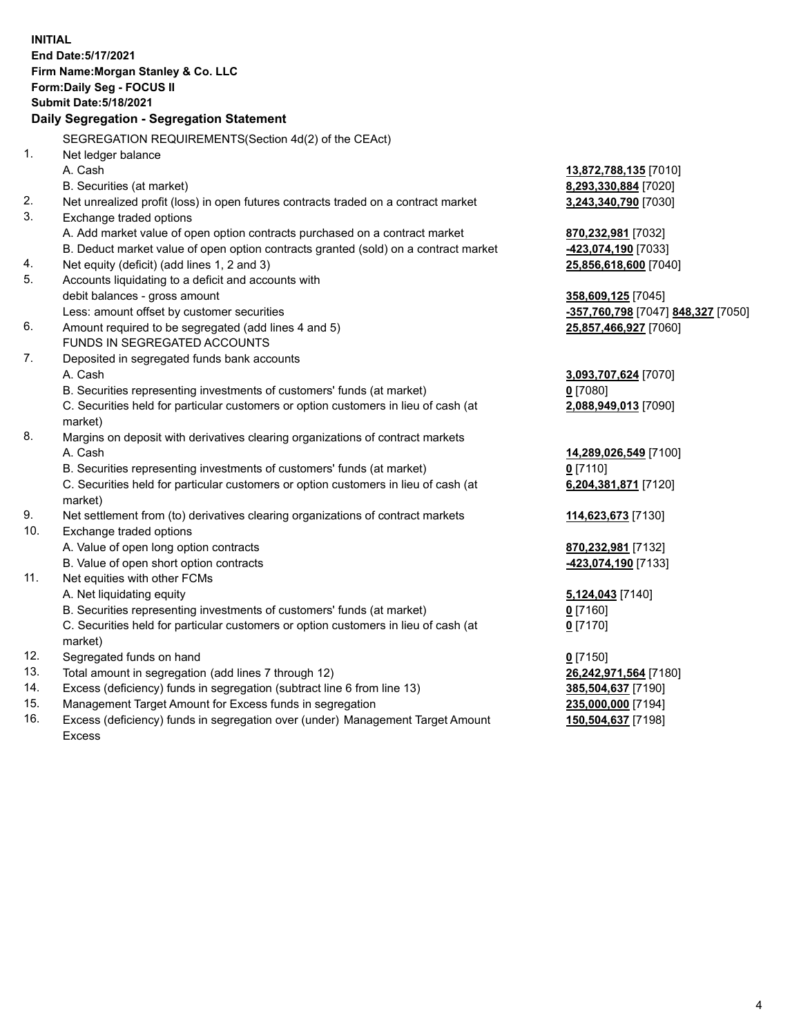**INITIAL End Date:5/17/2021 Firm Name:Morgan Stanley & Co. LLC Form:Daily Seg - FOCUS II Submit Date:5/18/2021 Daily Segregation - Segregation Statement** SEGREGATION REQUIREMENTS(Section 4d(2) of the CEAct) 1. Net ledger balance A. Cash **13,872,788,135** [7010] B. Securities (at market) **8,293,330,884** [7020] 2. Net unrealized profit (loss) in open futures contracts traded on a contract market **3,243,340,790** [7030] 3. Exchange traded options A. Add market value of open option contracts purchased on a contract market **870,232,981** [7032] B. Deduct market value of open option contracts granted (sold) on a contract market **-423,074,190** [7033] 4. Net equity (deficit) (add lines 1, 2 and 3) **25,856,618,600** [7040] 5. Accounts liquidating to a deficit and accounts with debit balances - gross amount **358,609,125** [7045] Less: amount offset by customer securities **-357,760,798** [7047] **848,327** [7050] 6. Amount required to be segregated (add lines 4 and 5) **25,857,466,927** [7060] FUNDS IN SEGREGATED ACCOUNTS 7. Deposited in segregated funds bank accounts A. Cash **3,093,707,624** [7070] B. Securities representing investments of customers' funds (at market) **0** [7080] C. Securities held for particular customers or option customers in lieu of cash (at market) **2,088,949,013** [7090] 8. Margins on deposit with derivatives clearing organizations of contract markets A. Cash **14,289,026,549** [7100] B. Securities representing investments of customers' funds (at market) **0** [7110] C. Securities held for particular customers or option customers in lieu of cash (at market) **6,204,381,871** [7120] 9. Net settlement from (to) derivatives clearing organizations of contract markets **114,623,673** [7130] 10. Exchange traded options A. Value of open long option contracts **870,232,981** [7132] B. Value of open short option contracts **-423,074,190** [7133] 11. Net equities with other FCMs A. Net liquidating equity **5,124,043** [7140] B. Securities representing investments of customers' funds (at market) **0** [7160] C. Securities held for particular customers or option customers in lieu of cash (at market) **0** [7170] 12. Segregated funds on hand **0** [7150] 13. Total amount in segregation (add lines 7 through 12) **26,242,971,564** [7180] 14. Excess (deficiency) funds in segregation (subtract line 6 from line 13) **385,504,637** [7190] 15. Management Target Amount for Excess funds in segregation **235,000,000** [7194]

16. Excess (deficiency) funds in segregation over (under) Management Target Amount Excess

**150,504,637** [7198]